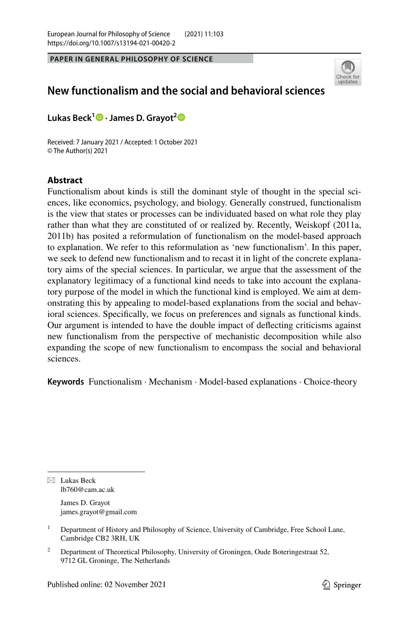**PAPER IN GENERAL PHILOSOPHY OF SCIENCE**



# **New functionalism and the social and behavioral sciences**

**Lukas Beck1 · James D. Grayot[2](https://orcid.org/0000-0003-4133-443X)**

Received: 7 January 2021 / Accepted: 1 October 2021 © The Author(s) 2021

# **Abstract**

Functionalism about kinds is still the dominant style of thought in the special sciences, like economics, psychology, and biology. Generally construed, functionalism is the view that states or processes can be individuated based on what role they play rather than what they are constituted of or realized by. Recently, Weiskopf (2011a, 2011b) has posited a reformulation of functionalism on the model-based approach to explanation. We refer to this reformulation as 'new functionalism'. In this paper, we seek to defend new functionalism and to recast it in light of the concrete explanatory aims of the special sciences. In particular, we argue that the assessment of the explanatory legitimacy of a functional kind needs to take into account the explanatory purpose of the model in which the functional kind is employed. We aim at demonstrating this by appealing to model-based explanations from the social and behavioral sciences. Specifcally, we focus on preferences and signals as functional kinds. Our argument is intended to have the double impact of defecting criticisms against new functionalism from the perspective of mechanistic decomposition while also expanding the scope of new functionalism to encompass the social and behavioral sciences.

**Keywords** Functionalism · Mechanism · Model-based explanations · Choice-theory

 $\boxtimes$  Lukas Beck lb760@cam.ac.uk James D. Grayot

james.grayot@gmail.com

<sup>1</sup> Department of History and Philosophy of Science, University of Cambridge, Free School Lane, Cambridge CB2 3RH, UK

<sup>&</sup>lt;sup>2</sup> Department of Theoretical Philosophy, University of Groningen, Oude Boteringestraat 52, 9712 GL Groninge, The Netherlands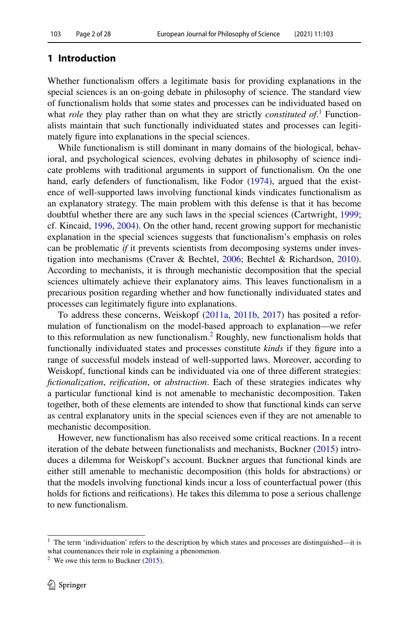# **1 Introduction**

Whether functionalism offers a legitimate basis for providing explanations in the special sciences is an on-going debate in philosophy of science. The standard view of functionalism holds that some states and processes can be individuated based on what *role* they play rather than on what they are strictly *constituted of*.<sup>[1](#page-1-0)</sup> Functionalists maintain that such functionally individuated states and processes can legitimately fgure into explanations in the special sciences.

While functionalism is still dominant in many domains of the biological, behavioral, and psychological sciences, evolving debates in philosophy of science indicate problems with traditional arguments in support of functionalism. On the one hand, early defenders of functionalism, like Fodor [\(1974](#page-26-0)), argued that the existence of well-supported laws involving functional kinds vindicates functionalism as an explanatory strategy. The main problem with this defense is that it has become doubtful whether there are any such laws in the special sciences (Cartwright, [1999;](#page-26-1) cf. Kincaid, [1996,](#page-27-0) [2004\)](#page-27-1). On the other hand, recent growing support for mechanistic explanation in the special sciences suggests that functionalism's emphasis on roles can be problematic *if* it prevents scientists from decomposing systems under investigation into mechanisms (Craver & Bechtel, [2006](#page-26-2); Bechtel & Richardson, [2010\)](#page-26-3). According to mechanists, it is through mechanistic decomposition that the special sciences ultimately achieve their explanatory aims. This leaves functionalism in a precarious position regarding whether and how functionally individuated states and processes can legitimately fgure into explanations.

To address these concerns, Weiskopf ([2011a](#page-27-2), [2011b](#page-27-3), [2017](#page-27-4)) has posited a reformulation of functionalism on the model-based approach to explanation—we refer to this reformulation as new functionalism.<sup>[2](#page-1-1)</sup> Roughly, new functionalism holds that functionally individuated states and processes constitute *kinds* if they fgure into a range of successful models instead of well-supported laws. Moreover, according to Weiskopf, functional kinds can be individuated via one of three diferent strategies: *fctionalization*, *reifcation*, or *abstraction*. Each of these strategies indicates why a particular functional kind is not amenable to mechanistic decomposition. Taken together, both of these elements are intended to show that functional kinds can serve as central explanatory units in the special sciences even if they are not amenable to mechanistic decomposition.

However, new functionalism has also received some critical reactions. In a recent iteration of the debate between functionalists and mechanists, Buckner [\(2015](#page-26-4)) introduces a dilemma for Weiskopf's account. Buckner argues that functional kinds are either still amenable to mechanistic decomposition (this holds for abstractions) or that the models involving functional kinds incur a loss of counterfactual power (this holds for fctions and reifcations). He takes this dilemma to pose a serious challenge to new functionalism.

<span id="page-1-0"></span> $1$  The term 'individuation' refers to the description by which states and processes are distinguished—it is what countenances their role in explaining a phenomenon.

<span id="page-1-1"></span><sup>&</sup>lt;sup>2</sup> We owe this term to Buckner  $(2015)$  $(2015)$ .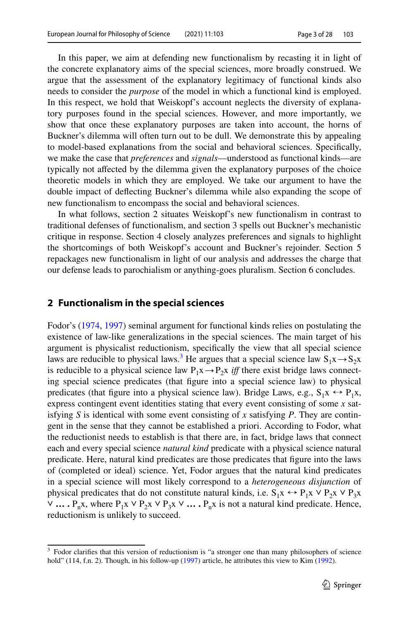In this paper, we aim at defending new functionalism by recasting it in light of the concrete explanatory aims of the special sciences, more broadly construed. We argue that the assessment of the explanatory legitimacy of functional kinds also needs to consider the *purpose* of the model in which a functional kind is employed. In this respect, we hold that Weiskopf's account neglects the diversity of explanatory purposes found in the special sciences. However, and more importantly, we show that once these explanatory purposes are taken into account, the horns of Buckner's dilemma will often turn out to be dull. We demonstrate this by appealing to model-based explanations from the social and behavioral sciences. Specifcally, we make the case that *preferences* and *signals*—understood as functional kinds—are typically not afected by the dilemma given the explanatory purposes of the choice theoretic models in which they are employed. We take our argument to have the double impact of defecting Buckner's dilemma while also expanding the scope of new functionalism to encompass the social and behavioral sciences.

In what follows, section 2 situates Weiskopf's new functionalism in contrast to traditional defenses of functionalism, and section 3 spells out Buckner's mechanistic critique in response. Section 4 closely analyzes preferences and signals to highlight the shortcomings of both Weiskopf's account and Buckner's rejoinder. Section 5 repackages new functionalism in light of our analysis and addresses the charge that our defense leads to parochialism or anything-goes pluralism. Section 6 concludes.

#### **2 Functionalism in the special sciences**

Fodor's [\(1974](#page-26-0), [1997](#page-26-5)) seminal argument for functional kinds relies on postulating the existence of law-like generalizations in the special sciences. The main target of his argument is physicalist reductionism, specifcally the view that all special science laws are reducible to physical laws.<sup>3</sup> He argues that a special science law  $S_1x \rightarrow S_2x$ is reducible to a physical science law  $P_1x \rightarrow P_2x$  *iff* there exist bridge laws connecting special science predicates (that fgure into a special science law) to physical predicates (that figure into a physical science law). Bridge Laws, e.g.,  $S_1x \leftrightarrow P_1x$ , express contingent event identities stating that every event consisting of some *x* satisfying *S* is identical with some event consisting of *x* satisfying *P*. They are contingent in the sense that they cannot be established a priori. According to Fodor, what the reductionist needs to establish is that there are, in fact, bridge laws that connect each and every special science *natural kind* predicate with a physical science natural predicate. Here, natural kind predicates are those predicates that fgure into the laws of (completed or ideal) science. Yet, Fodor argues that the natural kind predicates in a special science will most likely correspond to a *heterogeneous disjunction* of physical predicates that do not constitute natural kinds, i.e.  $S_1x \leftrightarrow P_1x \vee P_2x \vee P_3x$ ∨ **…** P<sub>n</sub>x, where P<sub>1</sub>x ∨ P<sub>2</sub>x ∨ P<sub>3</sub>x ∨ **…** P<sub>n</sub>x is not a natural kind predicate. Hence, reductionism is unlikely to succeed.

<span id="page-2-0"></span><sup>&</sup>lt;sup>3</sup> Fodor clarifies that this version of reductionism is "a stronger one than many philosophers of science hold" (114, f.n. 2). Though, in his follow-up ([1997\)](#page-26-5) article, he attributes this view to Kim [\(1992](#page-27-5)).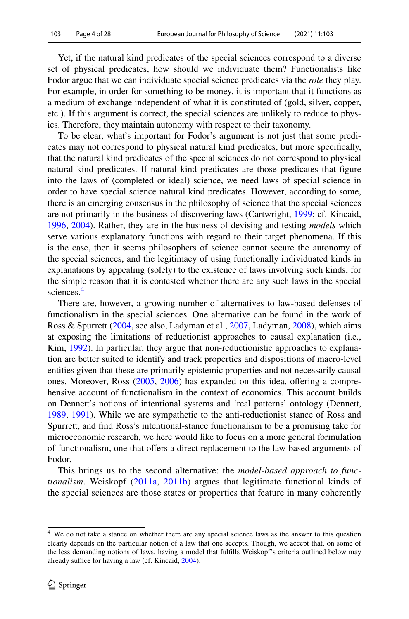Yet, if the natural kind predicates of the special sciences correspond to a diverse set of physical predicates, how should we individuate them? Functionalists like Fodor argue that we can individuate special science predicates via the *role* they play. For example, in order for something to be money, it is important that it functions as a medium of exchange independent of what it is constituted of (gold, silver, copper, etc.). If this argument is correct, the special sciences are unlikely to reduce to physics. Therefore, they maintain autonomy with respect to their taxonomy.

To be clear, what's important for Fodor's argument is not just that some predicates may not correspond to physical natural kind predicates, but more specifcally, that the natural kind predicates of the special sciences do not correspond to physical natural kind predicates. If natural kind predicates are those predicates that fgure into the laws of (completed or ideal) science, we need laws of special science in order to have special science natural kind predicates. However, according to some, there is an emerging consensus in the philosophy of science that the special sciences are not primarily in the business of discovering laws (Cartwright, [1999;](#page-26-1) cf. Kincaid, [1996](#page-27-0), [2004\)](#page-27-1). Rather, they are in the business of devising and testing *models* which serve various explanatory functions with regard to their target phenomena. If this is the case, then it seems philosophers of science cannot secure the autonomy of the special sciences, and the legitimacy of using functionally individuated kinds in explanations by appealing (solely) to the existence of laws involving such kinds, for the simple reason that it is contested whether there are any such laws in the special sciences.<sup>[4](#page-3-0)</sup>

There are, however, a growing number of alternatives to law-based defenses of functionalism in the special sciences. One alternative can be found in the work of Ross & Spurrett [\(2004](#page-27-6), see also, Ladyman et al., [2007,](#page-27-7) Ladyman, [2008](#page-27-8)), which aims at exposing the limitations of reductionist approaches to causal explanation (i.e., Kim, [1992](#page-27-5)). In particular, they argue that non-reductionistic approaches to explanation are better suited to identify and track properties and dispositions of macro-level entities given that these are primarily epistemic properties and not necessarily causal ones. Moreover, Ross [\(2005](#page-27-9), [2006](#page-27-10)) has expanded on this idea, ofering a comprehensive account of functionalism in the context of economics. This account builds on Dennett's notions of intentional systems and 'real patterns' ontology (Dennett, [1989](#page-26-6), [1991\)](#page-26-7). While we are sympathetic to the anti-reductionist stance of Ross and Spurrett, and fnd Ross's intentional-stance functionalism to be a promising take for microeconomic research, we here would like to focus on a more general formulation of functionalism, one that ofers a direct replacement to the law-based arguments of Fodor.

This brings us to the second alternative: the *model-based approach to functionalism*. Weiskopf ([2011a,](#page-27-2) [2011b\)](#page-27-3) argues that legitimate functional kinds of the special sciences are those states or properties that feature in many coherently

<span id="page-3-0"></span><sup>&</sup>lt;sup>4</sup> We do not take a stance on whether there are any special science laws as the answer to this question clearly depends on the particular notion of a law that one accepts. Though, we accept that, on some of the less demanding notions of laws, having a model that fulflls Weiskopf's criteria outlined below may already suffice for having a law (cf. Kincaid, [2004](#page-27-1)).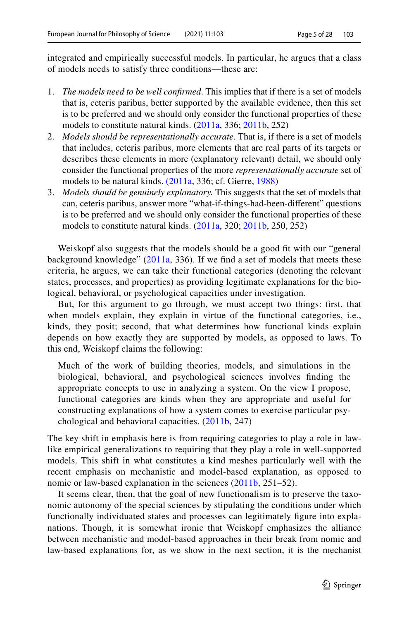integrated and empirically successful models. In particular, he argues that a class of models needs to satisfy three conditions—these are:

- 1. *The models need to be well confrmed*. This implies that if there is a set of models that is, ceteris paribus, better supported by the available evidence, then this set is to be preferred and we should only consider the functional properties of these models to constitute natural kinds. [\(2011a](#page-27-2), 336; [2011b,](#page-27-3) 252)
- 2. *Models should be representationally accurate*. That is, if there is a set of models that includes, ceteris paribus, more elements that are real parts of its targets or describes these elements in more (explanatory relevant) detail, we should only consider the functional properties of the more *representationally accurate* set of models to be natural kinds. [\(2011a](#page-27-2), 336; cf. Gierre, [1988\)](#page-26-8)
- 3. *Models should be genuinely explanatory.* This suggests that the set of models that can, ceteris paribus, answer more "what-if-things-had-been-diferent" questions is to be preferred and we should only consider the functional properties of these models to constitute natural kinds. [\(2011a](#page-27-2), 320; [2011b,](#page-27-3) 250, 252)

Weiskopf also suggests that the models should be a good fit with our "general" background knowledge" ([2011a,](#page-27-2) 336). If we fnd a set of models that meets these criteria, he argues, we can take their functional categories (denoting the relevant states, processes, and properties) as providing legitimate explanations for the biological, behavioral, or psychological capacities under investigation.

But, for this argument to go through, we must accept two things: frst, that when models explain, they explain in virtue of the functional categories, i.e., kinds, they posit; second, that what determines how functional kinds explain depends on how exactly they are supported by models, as opposed to laws. To this end, Weiskopf claims the following:

Much of the work of building theories, models, and simulations in the biological, behavioral, and psychological sciences involves fnding the appropriate concepts to use in analyzing a system. On the view I propose, functional categories are kinds when they are appropriate and useful for constructing explanations of how a system comes to exercise particular psychological and behavioral capacities. ([2011b,](#page-27-3) 247)

The key shift in emphasis here is from requiring categories to play a role in lawlike empirical generalizations to requiring that they play a role in well-supported models. This shift in what constitutes a kind meshes particularly well with the recent emphasis on mechanistic and model-based explanation, as opposed to nomic or law-based explanation in the sciences ([2011b](#page-27-3), 251–52).

It seems clear, then, that the goal of new functionalism is to preserve the taxonomic autonomy of the special sciences by stipulating the conditions under which functionally individuated states and processes can legitimately fgure into explanations. Though, it is somewhat ironic that Weiskopf emphasizes the alliance between mechanistic and model-based approaches in their break from nomic and law-based explanations for, as we show in the next section, it is the mechanist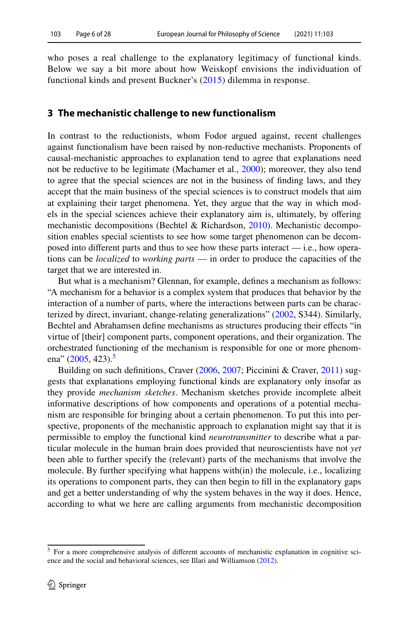who poses a real challenge to the explanatory legitimacy of functional kinds. Below we say a bit more about how Weiskopf envisions the individuation of functional kinds and present Buckner's [\(2015\)](#page-26-4) dilemma in response.

# **3 The mechanistic challenge to new functionalism**

In contrast to the reductionists, whom Fodor argued against, recent challenges against functionalism have been raised by non-reductive mechanists. Proponents of causal-mechanistic approaches to explanation tend to agree that explanations need not be reductive to be legitimate (Machamer et al., [2000\)](#page-27-11); moreover, they also tend to agree that the special sciences are not in the business of fnding laws, and they accept that the main business of the special sciences is to construct models that aim at explaining their target phenomena. Yet, they argue that the way in which models in the special sciences achieve their explanatory aim is, ultimately, by ofering mechanistic decompositions (Bechtel & Richardson, [2010](#page-26-3)). Mechanistic decomposition enables special scientists to see how some target phenomenon can be decomposed into diferent parts and thus to see how these parts interact — i.e., how operations can be *localized* to *working parts* — in order to produce the capacities of the target that we are interested in.

But what is a mechanism? Glennan, for example, defnes a mechanism as follows: "A mechanism for a behavior is a complex system that produces that behavior by the interaction of a number of parts, where the interactions between parts can be characterized by direct, invariant, change-relating generalizations" ([2002,](#page-26-9) S344). Similarly, Bechtel and Abrahamsen defne mechanisms as structures producing their efects "in virtue of [their] component parts, component operations, and their organization. The orchestrated functioning of the mechanism is responsible for one or more phenom-ena" [\(2005](#page-26-10), 423).<sup>5</sup>

Building on such defnitions, Craver ([2006,](#page-26-11) [2007](#page-26-12); Piccinini & Craver, [2011](#page-27-12)) suggests that explanations employing functional kinds are explanatory only insofar as they provide *mechanism sketches*. Mechanism sketches provide incomplete albeit informative descriptions of how components and operations of a potential mechanism are responsible for bringing about a certain phenomenon. To put this into perspective, proponents of the mechanistic approach to explanation might say that it is permissible to employ the functional kind *neurotransmitter* to describe what a particular molecule in the human brain does provided that neuroscientists have not *yet* been able to further specify the (relevant) parts of the mechanisms that involve the molecule. By further specifying what happens with(in) the molecule, i.e., localizing its operations to component parts, they can then begin to fll in the explanatory gaps and get a better understanding of why the system behaves in the way it does. Hence, according to what we here are calling arguments from mechanistic decomposition

<span id="page-5-0"></span><sup>&</sup>lt;sup>5</sup> For a more comprehensive analysis of different accounts of mechanistic explanation in cognitive science and the social and behavioral sciences, see Illari and Williamson ([2012\)](#page-27-13).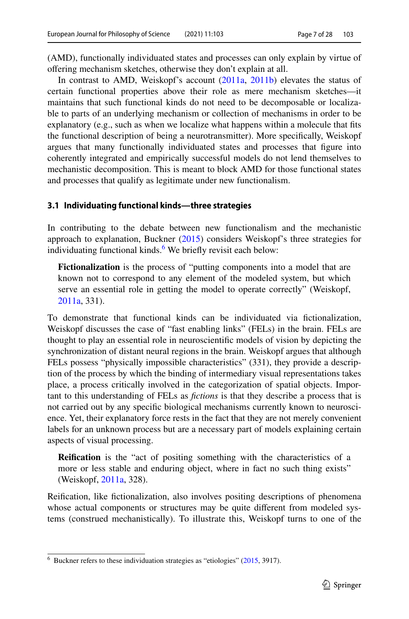(AMD), functionally individuated states and processes can only explain by virtue of ofering mechanism sketches, otherwise they don't explain at all.

In contrast to AMD, Weiskopf's account [\(2011a,](#page-27-2) [2011b](#page-27-3)) elevates the status of certain functional properties above their role as mere mechanism sketches—it maintains that such functional kinds do not need to be decomposable or localizable to parts of an underlying mechanism or collection of mechanisms in order to be explanatory (e.g., such as when we localize what happens within a molecule that fts the functional description of being a neurotransmitter). More specifcally, Weiskopf argues that many functionally individuated states and processes that fgure into coherently integrated and empirically successful models do not lend themselves to mechanistic decomposition. This is meant to block AMD for those functional states and processes that qualify as legitimate under new functionalism.

#### **3.1 Individuating functional kinds—three strategies**

In contributing to the debate between new functionalism and the mechanistic approach to explanation, Buckner  $(2015)$  $(2015)$  considers Weiskopf's three strategies for individuating functional kinds.<sup>6</sup> We briefly revisit each below:

**Fictionalization** is the process of "putting components into a model that are known not to correspond to any element of the modeled system, but which serve an essential role in getting the model to operate correctly" (Weiskopf, [2011a,](#page-27-2) 331).

To demonstrate that functional kinds can be individuated via fctionalization, Weiskopf discusses the case of "fast enabling links" (FELs) in the brain. FELs are thought to play an essential role in neuroscientifc models of vision by depicting the synchronization of distant neural regions in the brain. Weiskopf argues that although FELs possess "physically impossible characteristics" (331), they provide a description of the process by which the binding of intermediary visual representations takes place, a process critically involved in the categorization of spatial objects. Important to this understanding of FELs as *fctions* is that they describe a process that is not carried out by any specifc biological mechanisms currently known to neuroscience. Yet, their explanatory force rests in the fact that they are not merely convenient labels for an unknown process but are a necessary part of models explaining certain aspects of visual processing.

**Reifcation** is the "act of positing something with the characteristics of a more or less stable and enduring object, where in fact no such thing exists" (Weiskopf, [2011a](#page-27-2), 328).

Reifcation, like fctionalization, also involves positing descriptions of phenomena whose actual components or structures may be quite diferent from modeled systems (construed mechanistically). To illustrate this, Weiskopf turns to one of the

<span id="page-6-0"></span> $6$  Buckner refers to these individuation strategies as "etiologies" ([2015,](#page-26-4) 3917).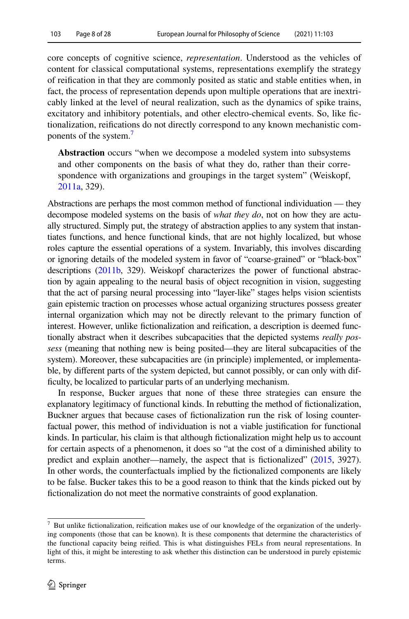core concepts of cognitive science, *representation*. Understood as the vehicles of content for classical computational systems, representations exemplify the strategy of reifcation in that they are commonly posited as static and stable entities when, in fact, the process of representation depends upon multiple operations that are inextricably linked at the level of neural realization, such as the dynamics of spike trains, excitatory and inhibitory potentials, and other electro-chemical events. So, like fctionalization, reifcations do not directly correspond to any known mechanistic components of the system.<sup>7</sup>

**Abstraction** occurs "when we decompose a modeled system into subsystems and other components on the basis of what they do, rather than their correspondence with organizations and groupings in the target system" (Weiskopf, [2011a,](#page-27-2) 329).

Abstractions are perhaps the most common method of functional individuation — they decompose modeled systems on the basis of *what they do*, not on how they are actually structured. Simply put, the strategy of abstraction applies to any system that instantiates functions, and hence functional kinds, that are not highly localized, but whose roles capture the essential operations of a system. Invariably, this involves discarding or ignoring details of the modeled system in favor of "coarse-grained" or "black-box" descriptions [\(2011b,](#page-27-3) 329). Weiskopf characterizes the power of functional abstraction by again appealing to the neural basis of object recognition in vision, suggesting that the act of parsing neural processing into "layer-like" stages helps vision scientists gain epistemic traction on processes whose actual organizing structures possess greater internal organization which may not be directly relevant to the primary function of interest. However, unlike fctionalization and reifcation, a description is deemed functionally abstract when it describes subcapacities that the depicted systems *really possess* (meaning that nothing new is being posited—they are literal subcapacities of the system). Moreover, these subcapacities are (in principle) implemented, or implementable, by diferent parts of the system depicted, but cannot possibly, or can only with difficulty, be localized to particular parts of an underlying mechanism.

In response, Bucker argues that none of these three strategies can ensure the explanatory legitimacy of functional kinds. In rebutting the method of fictionalization, Buckner argues that because cases of fictionalization run the risk of losing counterfactual power, this method of individuation is not a viable justifcation for functional kinds. In particular, his claim is that although fictionalization might help us to account for certain aspects of a phenomenon, it does so "at the cost of a diminished ability to predict and explain another—namely, the aspect that is fctionalized" [\(2015,](#page-26-4) 3927). In other words, the counterfactuals implied by the fctionalized components are likely to be false. Bucker takes this to be a good reason to think that the kinds picked out by fictionalization do not meet the normative constraints of good explanation.

<span id="page-7-0"></span><sup>7</sup> But unlike fctionalization, reifcation makes use of our knowledge of the organization of the underlying components (those that can be known). It is these components that determine the characteristics of the functional capacity being reifed. This is what distinguishes FELs from neural representations. In light of this, it might be interesting to ask whether this distinction can be understood in purely epistemic terms.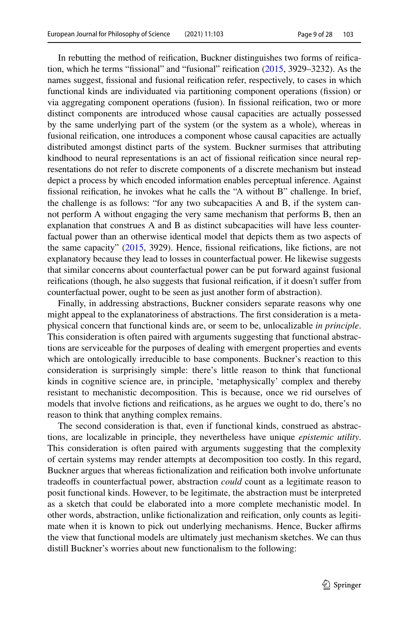In rebutting the method of reifcation, Buckner distinguishes two forms of reifcation, which he terms "fssional" and "fusional" reifcation ([2015,](#page-26-4) 3929–3232). As the names suggest, fssional and fusional reifcation refer, respectively, to cases in which functional kinds are individuated via partitioning component operations (fssion) or via aggregating component operations (fusion). In fissional reification, two or more distinct components are introduced whose causal capacities are actually possessed by the same underlying part of the system (or the system as a whole), whereas in fusional reifcation, one introduces a component whose causal capacities are actually distributed amongst distinct parts of the system. Buckner surmises that attributing kindhood to neural representations is an act of fssional reifcation since neural representations do not refer to discrete components of a discrete mechanism but instead depict a process by which encoded information enables perceptual inference. Against fssional reifcation, he invokes what he calls the "A without B" challenge. In brief, the challenge is as follows: "for any two subcapacities A and B, if the system cannot perform A without engaging the very same mechanism that performs B, then an explanation that construes A and B as distinct subcapacities will have less counterfactual power than an otherwise identical model that depicts them as two aspects of the same capacity" ([2015](#page-26-4), 3929). Hence, fssional reifcations, like fctions, are not explanatory because they lead to losses in counterfactual power. He likewise suggests that similar concerns about counterfactual power can be put forward against fusional reifcations (though, he also suggests that fusional reifcation, if it doesn't sufer from counterfactual power, ought to be seen as just another form of abstraction).

Finally, in addressing abstractions, Buckner considers separate reasons why one might appeal to the explanatoriness of abstractions. The frst consideration is a metaphysical concern that functional kinds are, or seem to be, unlocalizable *in principle*. This consideration is often paired with arguments suggesting that functional abstractions are serviceable for the purposes of dealing with emergent properties and events which are ontologically irreducible to base components. Buckner's reaction to this consideration is surprisingly simple: there's little reason to think that functional kinds in cognitive science are, in principle, 'metaphysically' complex and thereby resistant to mechanistic decomposition. This is because, once we rid ourselves of models that involve fctions and reifcations, as he argues we ought to do, there's no reason to think that anything complex remains.

The second consideration is that, even if functional kinds, construed as abstractions, are localizable in principle, they nevertheless have unique *epistemic utility*. This consideration is often paired with arguments suggesting that the complexity of certain systems may render attempts at decomposition too costly. In this regard, Buckner argues that whereas fctionalization and reifcation both involve unfortunate tradeofs in counterfactual power, abstraction *could* count as a legitimate reason to posit functional kinds. However, to be legitimate, the abstraction must be interpreted as a sketch that could be elaborated into a more complete mechanistic model. In other words, abstraction, unlike fctionalization and reifcation, only counts as legitimate when it is known to pick out underlying mechanisms. Hence, Bucker affirms the view that functional models are ultimately just mechanism sketches. We can thus distill Buckner's worries about new functionalism to the following: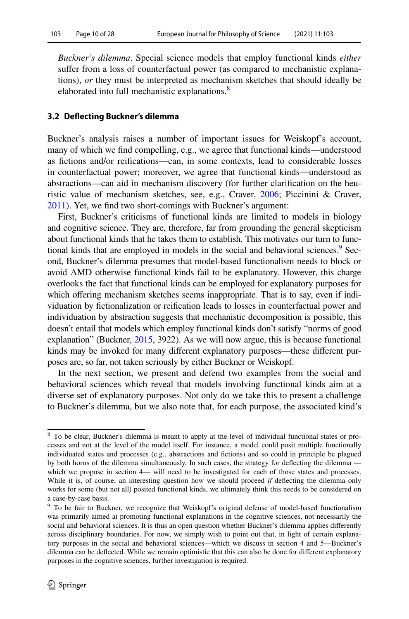*Buckner's dilemma*. Special science models that employ functional kinds *either* sufer from a loss of counterfactual power (as compared to mechanistic explanations), *or* they must be interpreted as mechanism sketches that should ideally be elaborated into full mechanistic explanations.<sup>[8](#page-9-0)</sup>

# **3.2 Defecting Buckner's dilemma**

Buckner's analysis raises a number of important issues for Weiskopf's account, many of which we fnd compelling, e.g., we agree that functional kinds—understood as fctions and/or reifcations—can, in some contexts, lead to considerable losses in counterfactual power; moreover, we agree that functional kinds—understood as abstractions—can aid in mechanism discovery (for further clarifcation on the heuristic value of mechanism sketches, see, e.g., Craver, [2006;](#page-26-11) Piccinini & Craver, [2011](#page-27-12)). Yet, we fnd two short-comings with Buckner's argument:

First, Buckner's criticisms of functional kinds are limited to models in biology and cognitive science. They are, therefore, far from grounding the general skepticism about functional kinds that he takes them to establish. This motivates our turn to functional kinds that are employed in models in the social and behavioral sciences.<sup>9</sup> Second, Buckner's dilemma presumes that model-based functionalism needs to block or avoid AMD otherwise functional kinds fail to be explanatory. However, this charge overlooks the fact that functional kinds can be employed for explanatory purposes for which offering mechanism sketches seems inappropriate. That is to say, even if individuation by fctionalization or reifcation leads to losses in counterfactual power and individuation by abstraction suggests that mechanistic decomposition is possible, this doesn't entail that models which employ functional kinds don't satisfy "norms of good explanation" (Buckner, [2015](#page-26-4), 3922). As we will now argue, this is because functional kinds may be invoked for many diferent explanatory purposes—these diferent purposes are, so far, not taken seriously by either Buckner or Weiskopf.

In the next section, we present and defend two examples from the social and behavioral sciences which reveal that models involving functional kinds aim at a diverse set of explanatory purposes. Not only do we take this to present a challenge to Buckner's dilemma, but we also note that, for each purpose, the associated kind's

<span id="page-9-0"></span><sup>&</sup>lt;sup>8</sup> To be clear, Buckner's dilemma is meant to apply at the level of individual functional states or processes and not at the level of the model itself. For instance, a model could posit multiple functionally individuated states and processes (e.g., abstractions and fctions) and so could in principle be plagued by both horns of the dilemma simultaneously. In such cases, the strategy for defecting the dilemma which we propose in section 4— will need to be investigated for each of those states and processes. While it is, of course, an interesting question how we should proceed *if* defecting the dilemma only works for some (but not all) posited functional kinds, we ultimately think this needs to be considered on a case-by-case basis.

<span id="page-9-1"></span><sup>9</sup> To be fair to Buckner, we recognize that Weiskopf's original defense of model-based functionalism was primarily aimed at promoting functional explanations in the cognitive sciences, not necessarily the social and behavioral sciences. It is thus an open question whether Buckner's dilemma applies differently across disciplinary boundaries. For now, we simply wish to point out that, in light of certain explanatory purposes in the social and behavioral sciences—which we discuss in section 4 and 5—Buckner's dilemma can be defected. While we remain optimistic that this can also be done for diferent explanatory purposes in the cognitive sciences, further investigation is required.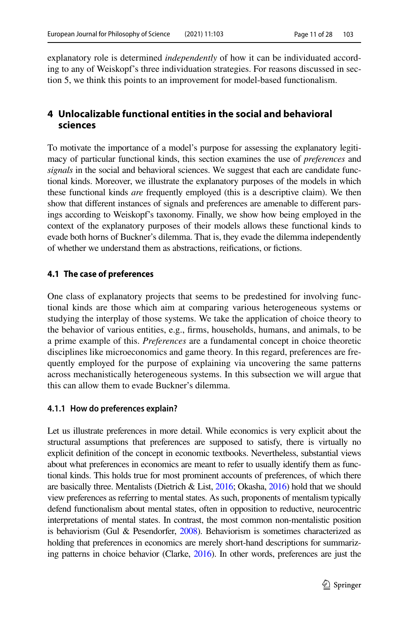explanatory role is determined *independently* of how it can be individuated according to any of Weiskopf's three individuation strategies. For reasons discussed in section 5, we think this points to an improvement for model-based functionalism.

# **4 Unlocalizable functional entities in the social and behavioral sciences**

To motivate the importance of a model's purpose for assessing the explanatory legitimacy of particular functional kinds, this section examines the use of *preferences* and *signals* in the social and behavioral sciences. We suggest that each are candidate functional kinds. Moreover, we illustrate the explanatory purposes of the models in which these functional kinds *are* frequently employed (this is a descriptive claim). We then show that diferent instances of signals and preferences are amenable to diferent parsings according to Weiskopf's taxonomy. Finally, we show how being employed in the context of the explanatory purposes of their models allows these functional kinds to evade both horns of Buckner's dilemma. That is, they evade the dilemma independently of whether we understand them as abstractions, reifcations, or fctions.

# **4.1 The case of preferences**

One class of explanatory projects that seems to be predestined for involving functional kinds are those which aim at comparing various heterogeneous systems or studying the interplay of those systems. We take the application of choice theory to the behavior of various entities, e.g., frms, households, humans, and animals, to be a prime example of this. *Preferences* are a fundamental concept in choice theoretic disciplines like microeconomics and game theory. In this regard, preferences are frequently employed for the purpose of explaining via uncovering the same patterns across mechanistically heterogeneous systems. In this subsection we will argue that this can allow them to evade Buckner's dilemma.

# **4.1.1 How do preferences explain?**

Let us illustrate preferences in more detail. While economics is very explicit about the structural assumptions that preferences are supposed to satisfy, there is virtually no explicit defnition of the concept in economic textbooks. Nevertheless, substantial views about what preferences in economics are meant to refer to usually identify them as functional kinds. This holds true for most prominent accounts of preferences, of which there are basically three. Mentalists (Dietrich & List, [2016;](#page-26-13) Okasha, [2016\)](#page-27-14) hold that we should view preferences as referring to mental states. As such, proponents of mentalism typically defend functionalism about mental states, often in opposition to reductive, neurocentric interpretations of mental states. In contrast, the most common non-mentalistic position is behaviorism (Gul & Pesendorfer, [2008](#page-26-14)). Behaviorism is sometimes characterized as holding that preferences in economics are merely short-hand descriptions for summarizing patterns in choice behavior (Clarke, [2016](#page-26-15)). In other words, preferences are just the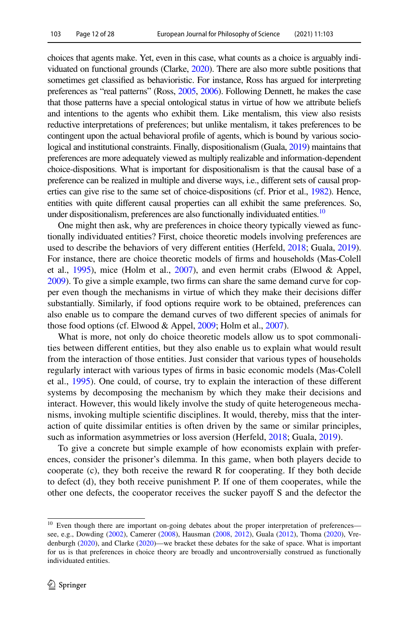choices that agents make. Yet, even in this case, what counts as a choice is arguably individuated on functional grounds (Clarke, [2020\)](#page-26-16). There are also more subtle positions that sometimes get classifed as behavioristic. For instance, Ross has argued for interpreting preferences as "real patterns" (Ross, [2005](#page-27-9), [2006\)](#page-27-10). Following Dennett, he makes the case that those patterns have a special ontological status in virtue of how we attribute beliefs and intentions to the agents who exhibit them. Like mentalism, this view also resists reductive interpretations of preferences; but unlike mentalism, it takes preferences to be contingent upon the actual behavioral profle of agents, which is bound by various sociological and institutional constraints. Finally, dispositionalism (Guala, [2019\)](#page-26-17) maintains that preferences are more adequately viewed as multiply realizable and information-dependent choice-dispositions. What is important for dispositionalism is that the causal base of a preference can be realized in multiple and diverse ways, i.e., diferent sets of causal properties can give rise to the same set of choice-dispositions (cf. Prior et al., [1982](#page-27-15)). Hence, entities with quite diferent causal properties can all exhibit the same preferences. So, under dispositionalism, preferences are also functionally individuated entities.<sup>10</sup>

One might then ask, why are preferences in choice theory typically viewed as functionally individuated entities? First, choice theoretic models involving preferences are used to describe the behaviors of very diferent entities (Herfeld, [2018;](#page-26-18) Guala, [2019\)](#page-26-17). For instance, there are choice theoretic models of frms and households (Mas-Colell et al.,  $1995$ ), mice (Holm et al.,  $2007$ ), and even hermit crabs (Elwood & Appel, [2009\)](#page-26-19). To give a simple example, two frms can share the same demand curve for copper even though the mechanisms in virtue of which they make their decisions difer substantially. Similarly, if food options require work to be obtained, preferences can also enable us to compare the demand curves of two diferent species of animals for those food options (cf. Elwood & Appel, [2009;](#page-26-19) Holm et al., [2007\)](#page-27-17).

What is more, not only do choice theoretic models allow us to spot commonalities between diferent entities, but they also enable us to explain what would result from the interaction of those entities. Just consider that various types of households regularly interact with various types of frms in basic economic models (Mas-Colell et al., [1995](#page-27-16)). One could, of course, try to explain the interaction of these diferent systems by decomposing the mechanism by which they make their decisions and interact. However, this would likely involve the study of quite heterogeneous mechanisms, invoking multiple scientifc disciplines. It would, thereby, miss that the interaction of quite dissimilar entities is often driven by the same or similar principles, such as information asymmetries or loss aversion (Herfeld, [2018;](#page-26-18) Guala, [2019\)](#page-26-17).

To give a concrete but simple example of how economists explain with preferences, consider the prisoner's dilemma. In this game, when both players decide to cooperate (c), they both receive the reward R for cooperating. If they both decide to defect (d), they both receive punishment P. If one of them cooperates, while the other one defects, the cooperator receives the sucker payof S and the defector the

<span id="page-11-0"></span><sup>&</sup>lt;sup>10</sup> Even though there are important on-going debates about the proper interpretation of preferences see, e.g., Dowding ([2002\)](#page-26-20), Camerer ([2008\)](#page-26-21), Hausman [\(2008](#page-26-22), [2012](#page-26-23)), Guala ([2012\)](#page-26-24), Thoma ([2020\)](#page-27-18), Vredenburgh [\(2020](#page-27-19)), and Clarke [\(2020](#page-26-16))—we bracket these debates for the sake of space. What is important for us is that preferences in choice theory are broadly and uncontroversially construed as functionally individuated entities.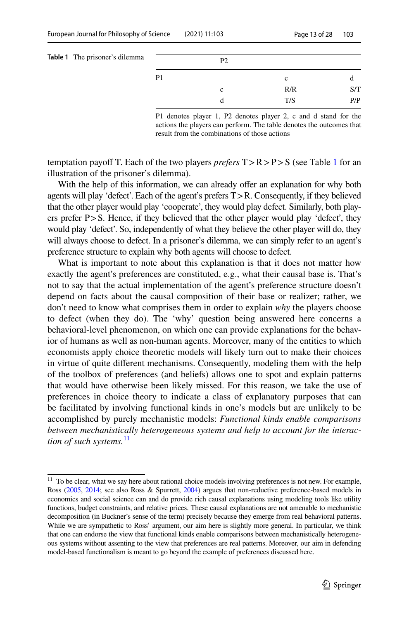<span id="page-12-0"></span>

| <b>Table 1</b> The prisoner's dilemma |                | P <sub>2</sub> |     |     |
|---------------------------------------|----------------|----------------|-----|-----|
|                                       | P <sub>1</sub> |                | c   |     |
|                                       |                | c              | R/R | S/T |
|                                       |                |                | T/S | P/P |
|                                       |                |                |     |     |

P1 denotes player 1, P2 denotes player 2, c and d stand for the actions the players can perform. The table denotes the outcomes that result from the combinations of those actions

temptation payof T. Each of the two players *prefers* T>R>P>S (see Table [1](#page-12-0) for an illustration of the prisoner's dilemma).

With the help of this information, we can already offer an explanation for why both agents will play 'defect'. Each of the agent's prefers T>R. Consequently, if they believed that the other player would play 'cooperate', they would play defect. Similarly, both players prefer P>S. Hence, if they believed that the other player would play 'defect', they would play 'defect'. So, independently of what they believe the other player will do, they will always choose to defect. In a prisoner's dilemma, we can simply refer to an agent's preference structure to explain why both agents will choose to defect.

What is important to note about this explanation is that it does not matter how exactly the agent's preferences are constituted, e.g., what their causal base is. That's not to say that the actual implementation of the agent's preference structure doesn't depend on facts about the causal composition of their base or realizer; rather, we don't need to know what comprises them in order to explain *why* the players choose to defect (when they do). The 'why' question being answered here concerns a behavioral-level phenomenon, on which one can provide explanations for the behavior of humans as well as non-human agents. Moreover, many of the entities to which economists apply choice theoretic models will likely turn out to make their choices in virtue of quite diferent mechanisms. Consequently, modeling them with the help of the toolbox of preferences (and beliefs) allows one to spot and explain patterns that would have otherwise been likely missed. For this reason, we take the use of preferences in choice theory to indicate a class of explanatory purposes that can be facilitated by involving functional kinds in one's models but are unlikely to be accomplished by purely mechanistic models: *Functional kinds enable comparisons between mechanistically heterogeneous systems and help to account for the interaction of such systems.*[11](#page-12-1)

<span id="page-12-1"></span><sup>&</sup>lt;sup>11</sup> To be clear, what we say here about rational choice models involving preferences is not new. For example, Ross [\(2005,](#page-27-9) [2014](#page-27-20); see also Ross & Spurrett, [2004\)](#page-27-6) argues that non-reductive preference-based models in economics and social science can and do provide rich causal explanations using modeling tools like utility functions, budget constraints, and relative prices. These causal explanations are not amenable to mechanistic decomposition (in Buckner's sense of the term) precisely because they emerge from real behavioral patterns. While we are sympathetic to Ross' argument, our aim here is slightly more general. In particular, we think that one can endorse the view that functional kinds enable comparisons between mechanistically heterogeneous systems without assenting to the view that preferences are real patterns. Moreover, our aim in defending model-based functionalism is meant to go beyond the example of preferences discussed here.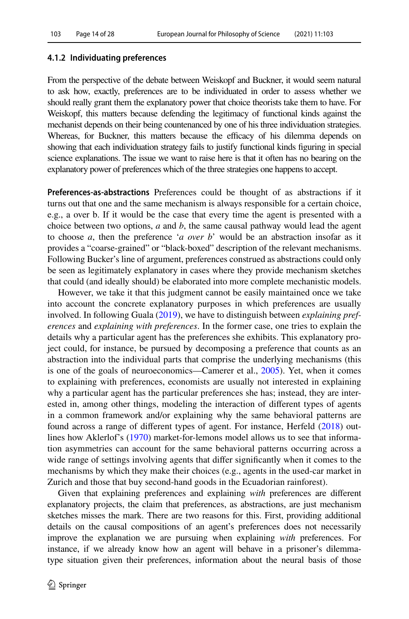#### **4.1.2 Individuating preferences**

From the perspective of the debate between Weiskopf and Buckner, it would seem natural to ask how, exactly, preferences are to be individuated in order to assess whether we should really grant them the explanatory power that choice theorists take them to have. For Weiskopf, this matters because defending the legitimacy of functional kinds against the mechanist depends on their being countenanced by one of his three individuation strategies. Whereas, for Buckner, this matters because the efficacy of his dilemma depends on showing that each individuation strategy fails to justify functional kinds fguring in special science explanations. The issue we want to raise here is that it often has no bearing on the explanatory power of preferences which of the three strategies one happens to accept.

**Preferences‑as‑abstractions** Preferences could be thought of as abstractions if it turns out that one and the same mechanism is always responsible for a certain choice, e.g., a over b. If it would be the case that every time the agent is presented with a choice between two options, *a* and *b*, the same causal pathway would lead the agent to choose *a*, then the preference '*a over b*' would be an abstraction insofar as it provides a "coarse-grained" or "black-boxed" description of the relevant mechanisms. Following Bucker's line of argument, preferences construed as abstractions could only be seen as legitimately explanatory in cases where they provide mechanism sketches that could (and ideally should) be elaborated into more complete mechanistic models.

However, we take it that this judgment cannot be easily maintained once we take into account the concrete explanatory purposes in which preferences are usually involved. In following Guala ([2019\)](#page-26-17), we have to distinguish between *explaining preferences* and *explaining with preferences*. In the former case, one tries to explain the details why a particular agent has the preferences she exhibits. This explanatory project could, for instance, be pursued by decomposing a preference that counts as an abstraction into the individual parts that comprise the underlying mechanisms (this is one of the goals of neuroeconomics—Camerer et al., [2005\)](#page-26-25). Yet, when it comes to explaining with preferences, economists are usually not interested in explaining why a particular agent has the particular preferences she has; instead, they are interested in, among other things, modeling the interaction of diferent types of agents in a common framework and/or explaining why the same behavioral patterns are found across a range of diferent types of agent. For instance, Herfeld [\(2018](#page-26-18)) outlines how Aklerlof's [\(1970](#page-26-26)) market-for-lemons model allows us to see that information asymmetries can account for the same behavioral patterns occurring across a wide range of settings involving agents that difer signifcantly when it comes to the mechanisms by which they make their choices (e.g., agents in the used-car market in Zurich and those that buy second-hand goods in the Ecuadorian rainforest).

Given that explaining preferences and explaining *with* preferences are diferent explanatory projects, the claim that preferences, as abstractions, are just mechanism sketches misses the mark. There are two reasons for this. First, providing additional details on the causal compositions of an agent's preferences does not necessarily improve the explanation we are pursuing when explaining *with* preferences. For instance, if we already know how an agent will behave in a prisoner's dilemmatype situation given their preferences, information about the neural basis of those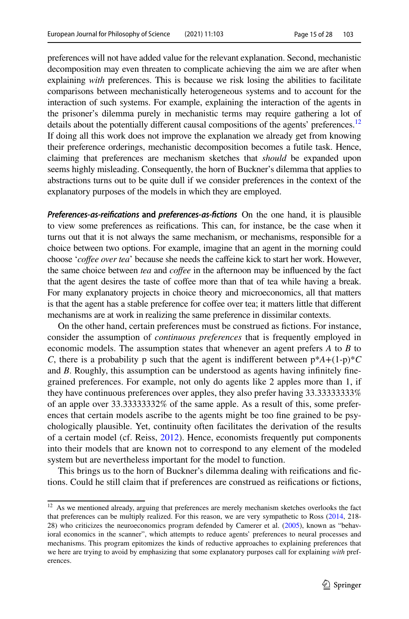preferences will not have added value for the relevant explanation. Second, mechanistic decomposition may even threaten to complicate achieving the aim we are after when explaining *with* preferences. This is because we risk losing the abilities to facilitate comparisons between mechanistically heterogeneous systems and to account for the interaction of such systems. For example, explaining the interaction of the agents in the prisoner's dilemma purely in mechanistic terms may require gathering a lot of details about the potentially different causal compositions of the agents' preferences.<sup>12</sup> If doing all this work does not improve the explanation we already get from knowing their preference orderings, mechanistic decomposition becomes a futile task. Hence, claiming that preferences are mechanism sketches that *should* be expanded upon seems highly misleading. Consequently, the horn of Buckner's dilemma that applies to abstractions turns out to be quite dull if we consider preferences in the context of the explanatory purposes of the models in which they are employed.

*Preferences‑as‑reifcations* **and** *preferences‑as‑fctions* On the one hand, it is plausible to view some preferences as reifcations. This can, for instance, be the case when it turns out that it is not always the same mechanism, or mechanisms, responsible for a choice between two options. For example, imagine that an agent in the morning could choose '*cofee over tea*' because she needs the cafeine kick to start her work. However, the same choice between *tea* and *cofee* in the afternoon may be infuenced by the fact that the agent desires the taste of cofee more than that of tea while having a break. For many explanatory projects in choice theory and microeconomics, all that matters is that the agent has a stable preference for coffee over tea; it matters little that different mechanisms are at work in realizing the same preference in dissimilar contexts.

On the other hand, certain preferences must be construed as fctions. For instance, consider the assumption of *continuous preferences* that is frequently employed in economic models. The assumption states that whenever an agent prefers *A* to *B* to *C*, there is a probability p such that the agent is indifferent between  $p^*A + (1-p)^*C$ and *B*. Roughly, this assumption can be understood as agents having infnitely fnegrained preferences. For example, not only do agents like 2 apples more than 1, if they have continuous preferences over apples, they also prefer having 33.33333333% of an apple over 33.33333332% of the same apple. As a result of this, some preferences that certain models ascribe to the agents might be too fne grained to be psychologically plausible. Yet, continuity often facilitates the derivation of the results of a certain model (cf. Reiss, [2012](#page-27-21)). Hence, economists frequently put components into their models that are known not to correspond to any element of the modeled system but are nevertheless important for the model to function.

This brings us to the horn of Buckner's dilemma dealing with reifcations and fctions. Could he still claim that if preferences are construed as reifcations or fctions,

<span id="page-14-0"></span> $12$  As we mentioned already, arguing that preferences are merely mechanism sketches overlooks the fact that preferences can be multiply realized. For this reason, we are very sympathetic to Ross [\(2014](#page-27-20), 218- 28) who criticizes the neuroeconomics program defended by Camerer et al. ([2005\)](#page-26-25), known as "behavioral economics in the scanner", which attempts to reduce agents' preferences to neural processes and mechanisms. This program epitomizes the kinds of reductive approaches to explaining preferences that we here are trying to avoid by emphasizing that some explanatory purposes call for explaining *with* preferences.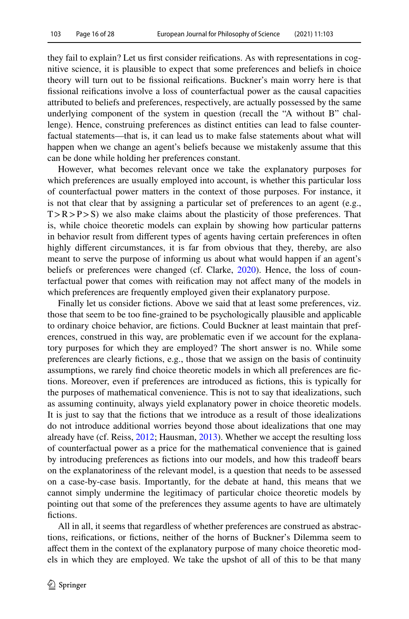they fail to explain? Let us frst consider reifcations. As with representations in cognitive science, it is plausible to expect that some preferences and beliefs in choice theory will turn out to be fssional reifcations. Buckner's main worry here is that fssional reifcations involve a loss of counterfactual power as the causal capacities attributed to beliefs and preferences, respectively, are actually possessed by the same underlying component of the system in question (recall the "A without B" challenge). Hence, construing preferences as distinct entities can lead to false counterfactual statements—that is, it can lead us to make false statements about what will happen when we change an agent's beliefs because we mistakenly assume that this can be done while holding her preferences constant.

However, what becomes relevant once we take the explanatory purposes for which preferences are usually employed into account, is whether this particular loss of counterfactual power matters in the context of those purposes. For instance, it is not that clear that by assigning a particular set of preferences to an agent (e.g.,  $T > R > P > S$ ) we also make claims about the plasticity of those preferences. That is, while choice theoretic models can explain by showing how particular patterns in behavior result from diferent types of agents having certain preferences in often highly diferent circumstances, it is far from obvious that they, thereby, are also meant to serve the purpose of informing us about what would happen if an agent's beliefs or preferences were changed (cf. Clarke, [2020](#page-26-16)). Hence, the loss of counterfactual power that comes with reifcation may not afect many of the models in which preferences are frequently employed given their explanatory purpose.

Finally let us consider fictions. Above we said that at least some preferences, viz. those that seem to be too fne-grained to be psychologically plausible and applicable to ordinary choice behavior, are fctions. Could Buckner at least maintain that preferences, construed in this way, are problematic even if we account for the explanatory purposes for which they are employed? The short answer is no. While some preferences are clearly fctions, e.g., those that we assign on the basis of continuity assumptions, we rarely fnd choice theoretic models in which all preferences are fctions. Moreover, even if preferences are introduced as fctions, this is typically for the purposes of mathematical convenience. This is not to say that idealizations, such as assuming continuity, always yield explanatory power in choice theoretic models. It is just to say that the fctions that we introduce as a result of those idealizations do not introduce additional worries beyond those about idealizations that one may already have (cf. Reiss, [2012;](#page-27-21) Hausman, [2013\)](#page-26-27). Whether we accept the resulting loss of counterfactual power as a price for the mathematical convenience that is gained by introducing preferences as fictions into our models, and how this tradeoff bears on the explanatoriness of the relevant model, is a question that needs to be assessed on a case-by-case basis. Importantly, for the debate at hand, this means that we cannot simply undermine the legitimacy of particular choice theoretic models by pointing out that some of the preferences they assume agents to have are ultimately fictions.

All in all, it seems that regardless of whether preferences are construed as abstractions, reifcations, or fctions, neither of the horns of Buckner's Dilemma seem to afect them in the context of the explanatory purpose of many choice theoretic models in which they are employed. We take the upshot of all of this to be that many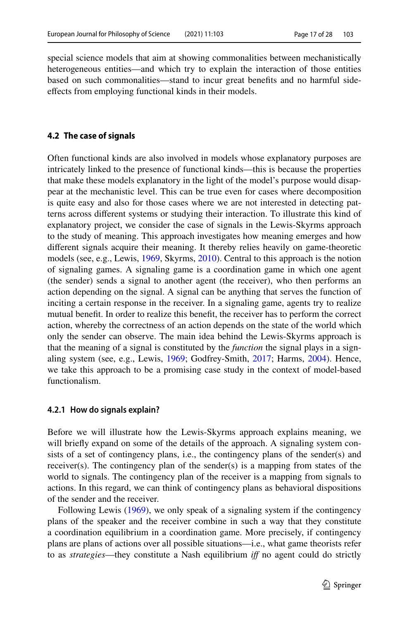special science models that aim at showing commonalities between mechanistically heterogeneous entities—and which try to explain the interaction of those entities based on such commonalities—stand to incur great benefts and no harmful sideefects from employing functional kinds in their models.

#### **4.2 The case of signals**

Often functional kinds are also involved in models whose explanatory purposes are intricately linked to the presence of functional kinds—this is because the properties that make these models explanatory in the light of the model's purpose would disappear at the mechanistic level. This can be true even for cases where decomposition is quite easy and also for those cases where we are not interested in detecting patterns across diferent systems or studying their interaction. To illustrate this kind of explanatory project, we consider the case of signals in the Lewis-Skyrms approach to the study of meaning. This approach investigates how meaning emerges and how diferent signals acquire their meaning. It thereby relies heavily on game-theoretic models (see, e.g., Lewis, [1969](#page-27-22), Skyrms, [2010\)](#page-27-23). Central to this approach is the notion of signaling games. A signaling game is a coordination game in which one agent (the sender) sends a signal to another agent (the receiver), who then performs an action depending on the signal. A signal can be anything that serves the function of inciting a certain response in the receiver. In a signaling game, agents try to realize mutual beneft. In order to realize this beneft, the receiver has to perform the correct action, whereby the correctness of an action depends on the state of the world which only the sender can observe. The main idea behind the Lewis-Skyrms approach is that the meaning of a signal is constituted by the *function* the signal plays in a signaling system (see, e.g., Lewis, [1969;](#page-27-22) Godfrey-Smith, [2017;](#page-26-28) Harms, [2004\)](#page-26-29). Hence, we take this approach to be a promising case study in the context of model-based functionalism.

#### **4.2.1 How do signals explain?**

Before we will illustrate how the Lewis-Skyrms approach explains meaning, we will briefly expand on some of the details of the approach. A signaling system consists of a set of contingency plans, i.e., the contingency plans of the sender(s) and receiver(s). The contingency plan of the sender(s) is a mapping from states of the world to signals. The contingency plan of the receiver is a mapping from signals to actions. In this regard, we can think of contingency plans as behavioral dispositions of the sender and the receiver.

Following Lewis ([1969\)](#page-27-22), we only speak of a signaling system if the contingency plans of the speaker and the receiver combine in such a way that they constitute a coordination equilibrium in a coordination game. More precisely, if contingency plans are plans of actions over all possible situations—i.e., what game theorists refer to as *strategies*—they constitute a Nash equilibrium *if* no agent could do strictly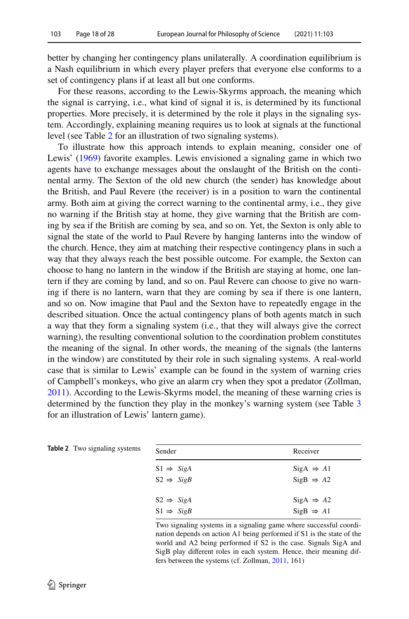better by changing her contingency plans unilaterally*.* A coordination equilibrium is a Nash equilibrium in which every player prefers that everyone else conforms to a set of contingency plans if at least all but one conforms.

For these reasons, according to the Lewis-Skyrms approach, the meaning which the signal is carrying, i.e., what kind of signal it is, is determined by its functional properties. More precisely, it is determined by the role it plays in the signaling system. Accordingly, explaining meaning requires us to look at signals at the functional level (see Table [2](#page-17-0) for an illustration of two signaling systems).

To illustrate how this approach intends to explain meaning, consider one of Lewis' ([1969\)](#page-27-22) favorite examples. Lewis envisioned a signaling game in which two agents have to exchange messages about the onslaught of the British on the continental army. The Sexton of the old new church (the sender) has knowledge about the British, and Paul Revere (the receiver) is in a position to warn the continental army. Both aim at giving the correct warning to the continental army, i.e., they give no warning if the British stay at home, they give warning that the British are coming by sea if the British are coming by sea, and so on. Yet, the Sexton is only able to signal the state of the world to Paul Revere by hanging lanterns into the window of the church. Hence, they aim at matching their respective contingency plans in such a way that they always reach the best possible outcome. For example, the Sexton can choose to hang no lantern in the window if the British are staying at home, one lantern if they are coming by land, and so on. Paul Revere can choose to give no warning if there is no lantern, warn that they are coming by sea if there is one lantern, and so on. Now imagine that Paul and the Sexton have to repeatedly engage in the described situation. Once the actual contingency plans of both agents match in such a way that they form a signaling system (i.e., that they will always give the correct warning), the resulting conventional solution to the coordination problem constitutes the meaning of the signal. In other words, the meaning of the signals (the lanterns in the window) are constituted by their role in such signaling systems. A real-world case that is similar to Lewis' example can be found in the system of warning cries of Campbell's monkeys, who give an alarm cry when they spot a predator (Zollman, [2011](#page-27-24)). According to the Lewis-Skyrms model, the meaning of these warning cries is determined by the function they play in the monkey's warning system (see Table [3](#page-18-0) for an illustration of Lewis' lantern game).

| Sender                | Receiver              |  |  |
|-----------------------|-----------------------|--|--|
| $S1 \Rightarrow SigA$ | $SigA \Rightarrow A1$ |  |  |
| $S2 \Rightarrow SigB$ | $SigB \Rightarrow A2$ |  |  |
| $S2 \Rightarrow SigA$ | $SigA \Rightarrow A2$ |  |  |
| $S1 \Rightarrow SigB$ | $SigB \Rightarrow A1$ |  |  |

Two signaling systems in a signaling game where successful coordination depends on action A1 being performed if S1 is the state of the world and A2 being performed if S2 is the case. Signals SigA and SigB play diferent roles in each system. Hence, their meaning differs between the systems (cf. Zollman, [2011](#page-27-24), 161)

<span id="page-17-0"></span>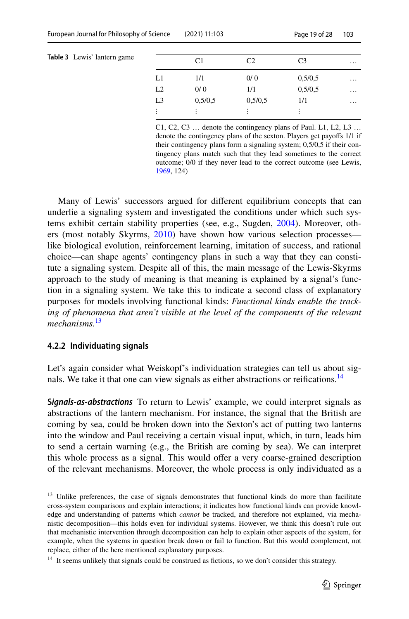<span id="page-18-0"></span>

| Table 3 Lewis' lantern game |  |  |
|-----------------------------|--|--|
|-----------------------------|--|--|

|                | C <sub>1</sub> | C <sub>2</sub> | C <sub>3</sub>            | $\cdots$ |
|----------------|----------------|----------------|---------------------------|----------|
| L1             | 1/1            | 0/0            | 0,5/0,5                   | $\cdots$ |
| L2             | 0/0            | 1/1            | 0,5/0,5                   | .        |
| L <sub>3</sub> | 0,5/0,5        | 0,5/0.5        | 1/1                       | .        |
| ٠<br>٠         | ٠              | ٠<br>٠         | ٠<br>$\ddot{\phantom{a}}$ |          |

C1, C2, C3 … denote the contingency plans of Paul. L1, L2, L3 … denote the contingency plans of the sexton. Players get payofs 1/1 if their contingency plans form a signaling system; 0,5/0,5 if their contingency plans match such that they lead sometimes to the correct outcome; 0/0 if they never lead to the correct outcome (see Lewis, [1969](#page-27-22), 124)

Many of Lewis' successors argued for diferent equilibrium concepts that can underlie a signaling system and investigated the conditions under which such systems exhibit certain stability properties (see, e.g., Sugden, [2004](#page-27-25)). Moreover, others (most notably Skyrms, [2010](#page-27-23)) have shown how various selection processes like biological evolution, reinforcement learning, imitation of success, and rational choice—can shape agents' contingency plans in such a way that they can constitute a signaling system. Despite all of this, the main message of the Lewis-Skyrms approach to the study of meaning is that meaning is explained by a signal's function in a signaling system. We take this to indicate a second class of explanatory purposes for models involving functional kinds: *Functional kinds enable the tracking of phenomena that aren't visible at the level of the components of the relevant mechanisms.*[13](#page-18-1)

#### **4.2.2 Individuating signals**

Let's again consider what Weiskopf's individuation strategies can tell us about signals. We take it that one can view signals as either abstractions or reifications.<sup>14</sup>

**S***ignals‑as‑abstractions* To return to Lewis' example, we could interpret signals as abstractions of the lantern mechanism. For instance, the signal that the British are coming by sea, could be broken down into the Sexton's act of putting two lanterns into the window and Paul receiving a certain visual input, which, in turn, leads him to send a certain warning (e.g., the British are coming by sea). We can interpret this whole process as a signal. This would offer a very coarse-grained description of the relevant mechanisms. Moreover, the whole process is only individuated as a

<span id="page-18-1"></span><sup>&</sup>lt;sup>13</sup> Unlike preferences, the case of signals demonstrates that functional kinds do more than facilitate cross-system comparisons and explain interactions; it indicates how functional kinds can provide knowledge and understanding of patterns which *cannot* be tracked, and therefore not explained, via mechanistic decomposition—this holds even for individual systems. However, we think this doesn't rule out that mechanistic intervention through decomposition can help to explain other aspects of the system, for example, when the systems in question break down or fail to function. But this would complement, not replace, either of the here mentioned explanatory purposes.

<span id="page-18-2"></span><sup>&</sup>lt;sup>14</sup> It seems unlikely that signals could be construed as fictions, so we don't consider this strategy.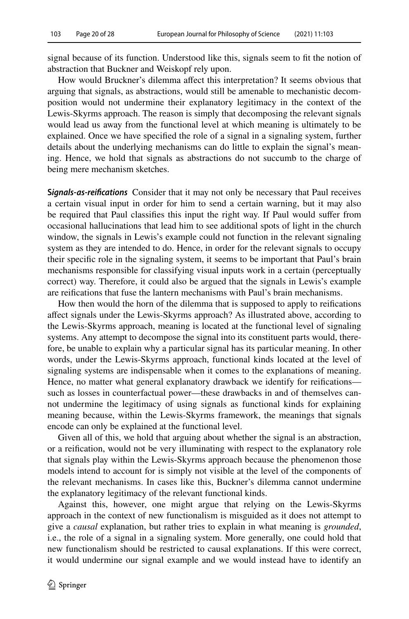signal because of its function. Understood like this, signals seem to ft the notion of abstraction that Buckner and Weiskopf rely upon.

How would Bruckner's dilemma afect this interpretation? It seems obvious that arguing that signals, as abstractions, would still be amenable to mechanistic decomposition would not undermine their explanatory legitimacy in the context of the Lewis-Skyrms approach. The reason is simply that decomposing the relevant signals would lead us away from the functional level at which meaning is ultimately to be explained. Once we have specifed the role of a signal in a signaling system, further details about the underlying mechanisms can do little to explain the signal's meaning. Hence, we hold that signals as abstractions do not succumb to the charge of being mere mechanism sketches.

**S***ignals‑as‑reifcations* Consider that it may not only be necessary that Paul receives a certain visual input in order for him to send a certain warning, but it may also be required that Paul classifes this input the right way. If Paul would sufer from occasional hallucinations that lead him to see additional spots of light in the church window, the signals in Lewis's example could not function in the relevant signaling system as they are intended to do. Hence, in order for the relevant signals to occupy their specifc role in the signaling system, it seems to be important that Paul's brain mechanisms responsible for classifying visual inputs work in a certain (perceptually correct) way. Therefore, it could also be argued that the signals in Lewis's example are reifcations that fuse the lantern mechanisms with Paul's brain mechanisms.

How then would the horn of the dilemma that is supposed to apply to reifcations afect signals under the Lewis-Skyrms approach? As illustrated above, according to the Lewis-Skyrms approach, meaning is located at the functional level of signaling systems. Any attempt to decompose the signal into its constituent parts would, therefore, be unable to explain why a particular signal has its particular meaning. In other words, under the Lewis-Skyrms approach, functional kinds located at the level of signaling systems are indispensable when it comes to the explanations of meaning. Hence, no matter what general explanatory drawback we identify for reifications such as losses in counterfactual power—these drawbacks in and of themselves cannot undermine the legitimacy of using signals as functional kinds for explaining meaning because, within the Lewis-Skyrms framework, the meanings that signals encode can only be explained at the functional level.

Given all of this, we hold that arguing about whether the signal is an abstraction, or a reifcation, would not be very illuminating with respect to the explanatory role that signals play within the Lewis-Skyrms approach because the phenomenon those models intend to account for is simply not visible at the level of the components of the relevant mechanisms. In cases like this, Buckner's dilemma cannot undermine the explanatory legitimacy of the relevant functional kinds.

Against this, however, one might argue that relying on the Lewis-Skyrms approach in the context of new functionalism is misguided as it does not attempt to give a *causal* explanation, but rather tries to explain in what meaning is *grounded*, i.e., the role of a signal in a signaling system. More generally, one could hold that new functionalism should be restricted to causal explanations. If this were correct, it would undermine our signal example and we would instead have to identify an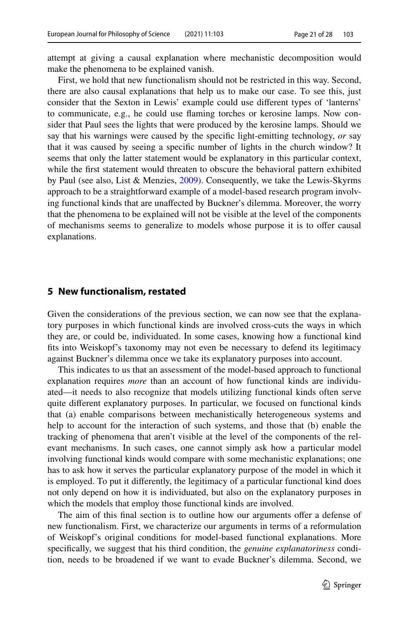attempt at giving a causal explanation where mechanistic decomposition would make the phenomena to be explained vanish.

First, we hold that new functionalism should not be restricted in this way. Second, there are also causal explanations that help us to make our case. To see this, just consider that the Sexton in Lewis' example could use diferent types of 'lanterns' to communicate, e.g., he could use faming torches or kerosine lamps. Now consider that Paul sees the lights that were produced by the kerosine lamps. Should we say that his warnings were caused by the specifc light-emitting technology, *or* say that it was caused by seeing a specifc number of lights in the church window? It seems that only the latter statement would be explanatory in this particular context, while the frst statement would threaten to obscure the behavioral pattern exhibited by Paul (see also, List & Menzies, [2009\)](#page-27-26). Consequently, we take the Lewis-Skyrms approach to be a straightforward example of a model-based research program involving functional kinds that are unafected by Buckner's dilemma. Moreover, the worry that the phenomena to be explained will not be visible at the level of the components of mechanisms seems to generalize to models whose purpose it is to ofer causal explanations.

#### **5 New functionalism, restated**

Given the considerations of the previous section, we can now see that the explanatory purposes in which functional kinds are involved cross-cuts the ways in which they are, or could be, individuated. In some cases, knowing how a functional kind fts into Weiskopf's taxonomy may not even be necessary to defend its legitimacy against Buckner's dilemma once we take its explanatory purposes into account.

This indicates to us that an assessment of the model-based approach to functional explanation requires *more* than an account of how functional kinds are individuated—it needs to also recognize that models utilizing functional kinds often serve quite diferent explanatory purposes. In particular, we focused on functional kinds that (a) enable comparisons between mechanistically heterogeneous systems and help to account for the interaction of such systems, and those that (b) enable the tracking of phenomena that aren't visible at the level of the components of the relevant mechanisms. In such cases, one cannot simply ask how a particular model involving functional kinds would compare with some mechanistic explanations; one has to ask how it serves the particular explanatory purpose of the model in which it is employed. To put it diferently, the legitimacy of a particular functional kind does not only depend on how it is individuated, but also on the explanatory purposes in which the models that employ those functional kinds are involved.

The aim of this final section is to outline how our arguments offer a defense of new functionalism. First, we characterize our arguments in terms of a reformulation of Weiskopf's original conditions for model-based functional explanations. More specifcally, we suggest that his third condition, the *genuine explanatoriness* condition, needs to be broadened if we want to evade Buckner's dilemma. Second, we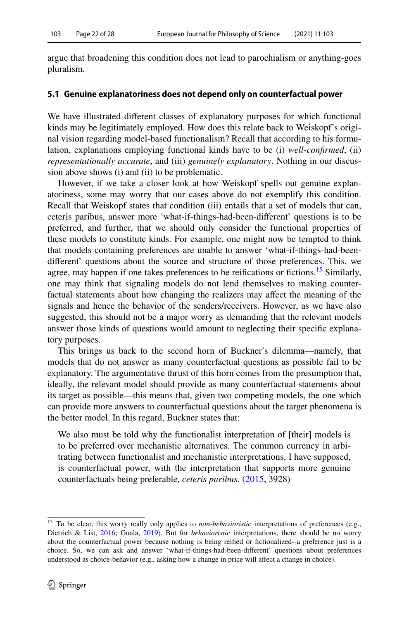argue that broadening this condition does not lead to parochialism or anything-goes pluralism.

#### **5.1 Genuine explanatoriness does not depend only on counterfactual power**

We have illustrated diferent classes of explanatory purposes for which functional kinds may be legitimately employed. How does this relate back to Weiskopf's original vision regarding model-based functionalism? Recall that according to his formulation, explanations employing functional kinds have to be (i) *well-confrmed*, (ii) *representationally accurate*, and (iii) *genuinely explanatory*. Nothing in our discussion above shows (i) and (ii) to be problematic.

However, if we take a closer look at how Weiskopf spells out genuine explanatoriness, some may worry that our cases above do not exemplify this condition. Recall that Weiskopf states that condition (iii) entails that a set of models that can, ceteris paribus, answer more 'what-if-things-had-been-diferent' questions is to be preferred, and further, that we should only consider the functional properties of these models to constitute kinds. For example, one might now be tempted to think that models containing preferences are unable to answer 'what-if-things-had-beendiferent' questions about the source and structure of those preferences. This, we agree, may happen if one takes preferences to be reifications or fictions.<sup>15</sup> Similarly, one may think that signaling models do not lend themselves to making counterfactual statements about how changing the realizers may afect the meaning of the signals and hence the behavior of the senders/receivers. However, as we have also suggested, this should not be a major worry as demanding that the relevant models answer those kinds of questions would amount to neglecting their specifc explanatory purposes.

This brings us back to the second horn of Buckner's dilemma—namely, that models that do not answer as many counterfactual questions as possible fail to be explanatory. The argumentative thrust of this horn comes from the presumption that, ideally, the relevant model should provide as many counterfactual statements about its target as possible—this means that, given two competing models, the one which can provide more answers to counterfactual questions about the target phenomena is the better model. In this regard, Buckner states that:

We also must be told why the functionalist interpretation of [their] models is to be preferred over mechanistic alternatives. The common currency in arbitrating between functionalist and mechanistic interpretations, I have supposed, is counterfactual power, with the interpretation that supports more genuine counterfactuals being preferable, *ceteris paribus*. ([2015,](#page-26-4) 3928)

<span id="page-21-0"></span><sup>&</sup>lt;sup>15</sup> To be clear, this worry really only applies to *non-behavioristic* interpretations of preferences (e.g., Dietrich & List, [2016;](#page-26-13) Guala, [2019](#page-26-17)). But for *behavioristic* interpretations, there should be no worry about the counterfactual power because nothing is being reifed or fctionalized--a preference just is a choice. So, we can ask and answer 'what-if-things-had-been-diferent' questions about preferences understood as choice-behavior (e.g., asking how a change in price will afect a change in choice).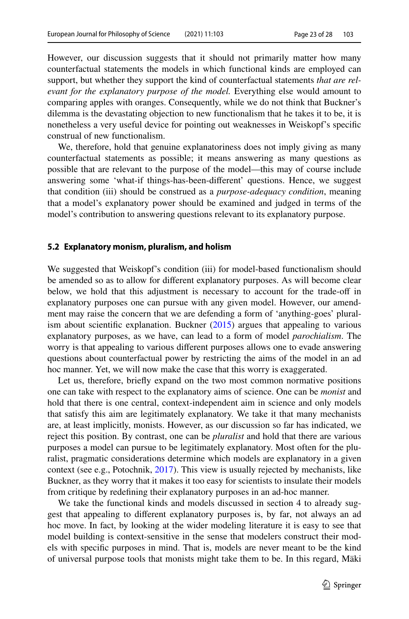However, our discussion suggests that it should not primarily matter how many counterfactual statements the models in which functional kinds are employed can support, but whether they support the kind of counterfactual statements *that are relevant for the explanatory purpose of the model.* Everything else would amount to comparing apples with oranges. Consequently, while we do not think that Buckner's dilemma is the devastating objection to new functionalism that he takes it to be, it is nonetheless a very useful device for pointing out weaknesses in Weiskopf's specifc construal of new functionalism.

We, therefore, hold that genuine explanatoriness does not imply giving as many counterfactual statements as possible; it means answering as many questions as possible that are relevant to the purpose of the model—this may of course include answering some 'what-if things-has-been-diferent' questions. Hence, we suggest that condition (iii) should be construed as a *purpose-adequacy condition*, meaning that a model's explanatory power should be examined and judged in terms of the model's contribution to answering questions relevant to its explanatory purpose.

#### **5.2 Explanatory monism, pluralism, and holism**

We suggested that Weiskopf's condition (iii) for model-based functionalism should be amended so as to allow for diferent explanatory purposes. As will become clear below, we hold that this adjustment is necessary to account for the trade-of in explanatory purposes one can pursue with any given model. However, our amendment may raise the concern that we are defending a form of 'anything-goes' pluralism about scientific explanation. Buckner  $(2015)$  $(2015)$  argues that appealing to various explanatory purposes, as we have, can lead to a form of model *parochialism*. The worry is that appealing to various diferent purposes allows one to evade answering questions about counterfactual power by restricting the aims of the model in an ad hoc manner. Yet, we will now make the case that this worry is exaggerated.

Let us, therefore, briefy expand on the two most common normative positions one can take with respect to the explanatory aims of science. One can be *monist* and hold that there is one central, context-independent aim in science and only models that satisfy this aim are legitimately explanatory. We take it that many mechanists are, at least implicitly, monists. However, as our discussion so far has indicated, we reject this position. By contrast, one can be *pluralist* and hold that there are various purposes a model can pursue to be legitimately explanatory. Most often for the pluralist, pragmatic considerations determine which models are explanatory in a given context (see e.g., Potochnik, [2017](#page-27-27)). This view is usually rejected by mechanists, like Buckner, as they worry that it makes it too easy for scientists to insulate their models from critique by redefning their explanatory purposes in an ad-hoc manner.

We take the functional kinds and models discussed in section 4 to already suggest that appealing to diferent explanatory purposes is, by far, not always an ad hoc move. In fact, by looking at the wider modeling literature it is easy to see that model building is context-sensitive in the sense that modelers construct their models with specifc purposes in mind. That is, models are never meant to be the kind of universal purpose tools that monists might take them to be. In this regard, Mäki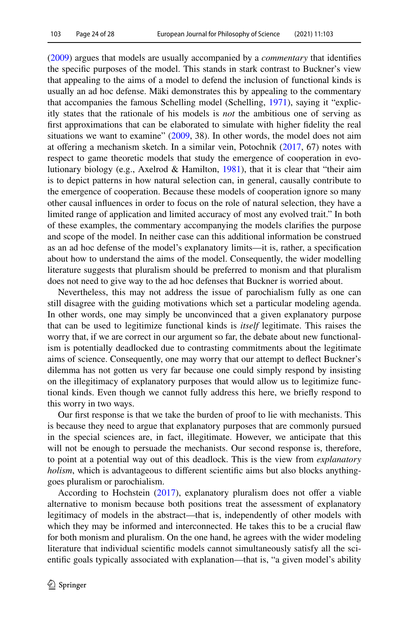[\(2009](#page-27-28)) argues that models are usually accompanied by a *commentary* that identifes the specifc purposes of the model. This stands in stark contrast to Buckner's view that appealing to the aims of a model to defend the inclusion of functional kinds is usually an ad hoc defense. Mäki demonstrates this by appealing to the commentary that accompanies the famous Schelling model (Schelling, [1971\)](#page-27-29), saying it "explicitly states that the rationale of his models is *not* the ambitious one of serving as frst approximations that can be elaborated to simulate with higher fdelity the real situations we want to examine"  $(2009, 38)$  $(2009, 38)$ . In other words, the model does not aim at offering a mechanism sketch. In a similar vein, Potochnik  $(2017, 67)$  $(2017, 67)$  $(2017, 67)$  notes with respect to game theoretic models that study the emergence of cooperation in evolutionary biology (e.g., Axelrod & Hamilton, [1981](#page-26-30)), that it is clear that "their aim is to depict patterns in how natural selection can, in general, causally contribute to the emergence of cooperation. Because these models of cooperation ignore so many other causal infuences in order to focus on the role of natural selection, they have a limited range of application and limited accuracy of most any evolved trait." In both of these examples, the commentary accompanying the models clarifes the purpose and scope of the model. In neither case can this additional information be construed as an ad hoc defense of the model's explanatory limits—it is, rather, a specifcation about how to understand the aims of the model. Consequently, the wider modelling literature suggests that pluralism should be preferred to monism and that pluralism does not need to give way to the ad hoc defenses that Buckner is worried about.

Nevertheless, this may not address the issue of parochialism fully as one can still disagree with the guiding motivations which set a particular modeling agenda. In other words, one may simply be unconvinced that a given explanatory purpose that can be used to legitimize functional kinds is *itself* legitimate. This raises the worry that, if we are correct in our argument so far, the debate about new functionalism is potentially deadlocked due to contrasting commitments about the legitimate aims of science. Consequently, one may worry that our attempt to defect Buckner's dilemma has not gotten us very far because one could simply respond by insisting on the illegitimacy of explanatory purposes that would allow us to legitimize functional kinds. Even though we cannot fully address this here, we briefy respond to this worry in two ways.

Our frst response is that we take the burden of proof to lie with mechanists. This is because they need to argue that explanatory purposes that are commonly pursued in the special sciences are, in fact, illegitimate. However, we anticipate that this will not be enough to persuade the mechanists. Our second response is, therefore, to point at a potential way out of this deadlock. This is the view from *explanatory holism*, which is advantageous to different scientific aims but also blocks anythinggoes pluralism or parochialism.

According to Hochstein ([2017\)](#page-26-31), explanatory pluralism does not offer a viable alternative to monism because both positions treat the assessment of explanatory legitimacy of models in the abstract—that is, independently of other models with which they may be informed and interconnected. He takes this to be a crucial faw for both monism and pluralism. On the one hand, he agrees with the wider modeling literature that individual scientifc models cannot simultaneously satisfy all the scientifc goals typically associated with explanation—that is, "a given model's ability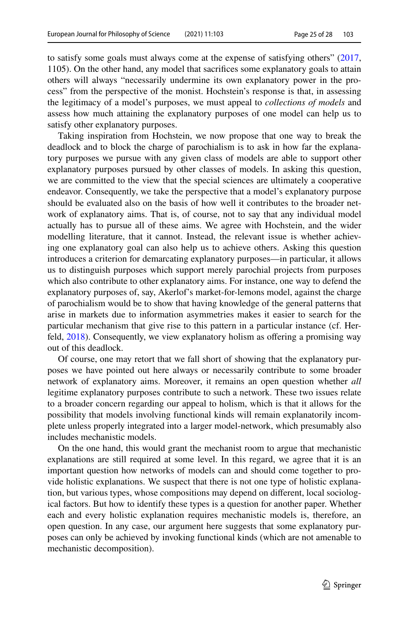to satisfy some goals must always come at the expense of satisfying others" ([2017,](#page-26-31) 1105). On the other hand, any model that sacrifces some explanatory goals to attain others will always "necessarily undermine its own explanatory power in the process" from the perspective of the monist. Hochstein's response is that, in assessing the legitimacy of a model's purposes, we must appeal to *collections of models* and assess how much attaining the explanatory purposes of one model can help us to satisfy other explanatory purposes.

Taking inspiration from Hochstein, we now propose that one way to break the deadlock and to block the charge of parochialism is to ask in how far the explanatory purposes we pursue with any given class of models are able to support other explanatory purposes pursued by other classes of models. In asking this question, we are committed to the view that the special sciences are ultimately a cooperative endeavor. Consequently, we take the perspective that a model's explanatory purpose should be evaluated also on the basis of how well it contributes to the broader network of explanatory aims. That is, of course, not to say that any individual model actually has to pursue all of these aims. We agree with Hochstein, and the wider modelling literature, that it cannot. Instead, the relevant issue is whether achieving one explanatory goal can also help us to achieve others. Asking this question introduces a criterion for demarcating explanatory purposes—in particular, it allows us to distinguish purposes which support merely parochial projects from purposes which also contribute to other explanatory aims. For instance, one way to defend the explanatory purposes of, say, Akerlof's market-for-lemons model, against the charge of parochialism would be to show that having knowledge of the general patterns that arise in markets due to information asymmetries makes it easier to search for the particular mechanism that give rise to this pattern in a particular instance (cf. Herfeld, [2018\)](#page-26-18). Consequently, we view explanatory holism as ofering a promising way out of this deadlock.

Of course, one may retort that we fall short of showing that the explanatory purposes we have pointed out here always or necessarily contribute to some broader network of explanatory aims. Moreover, it remains an open question whether *all* legitime explanatory purposes contribute to such a network. These two issues relate to a broader concern regarding our appeal to holism, which is that it allows for the possibility that models involving functional kinds will remain explanatorily incomplete unless properly integrated into a larger model-network, which presumably also includes mechanistic models.

On the one hand, this would grant the mechanist room to argue that mechanistic explanations are still required at some level. In this regard, we agree that it is an important question how networks of models can and should come together to provide holistic explanations. We suspect that there is not one type of holistic explanation, but various types, whose compositions may depend on diferent, local sociological factors. But how to identify these types is a question for another paper. Whether each and every holistic explanation requires mechanistic models is, therefore, an open question. In any case, our argument here suggests that some explanatory purposes can only be achieved by invoking functional kinds (which are not amenable to mechanistic decomposition).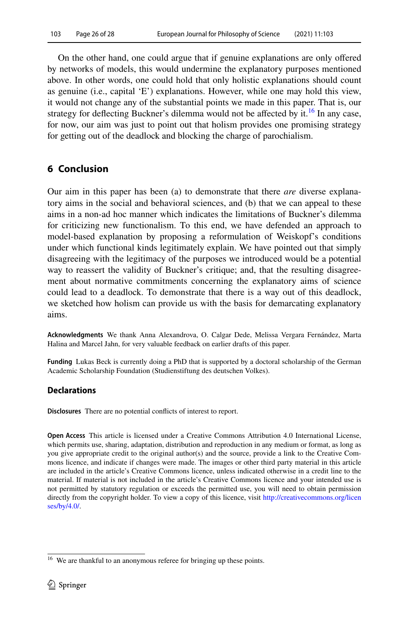On the other hand, one could argue that if genuine explanations are only ofered by networks of models, this would undermine the explanatory purposes mentioned above. In other words, one could hold that only holistic explanations should count as genuine (i.e., capital 'E') explanations. However, while one may hold this view, it would not change any of the substantial points we made in this paper. That is, our strategy for deflecting Buckner's dilemma would not be affected by it.<sup>[16](#page-25-0)</sup> In any case, for now, our aim was just to point out that holism provides one promising strategy for getting out of the deadlock and blocking the charge of parochialism.

# **6 Conclusion**

Our aim in this paper has been (a) to demonstrate that there *are* diverse explanatory aims in the social and behavioral sciences, and (b) that we can appeal to these aims in a non-ad hoc manner which indicates the limitations of Buckner's dilemma for criticizing new functionalism. To this end, we have defended an approach to model-based explanation by proposing a reformulation of Weiskopf's conditions under which functional kinds legitimately explain. We have pointed out that simply disagreeing with the legitimacy of the purposes we introduced would be a potential way to reassert the validity of Buckner's critique; and, that the resulting disagreement about normative commitments concerning the explanatory aims of science could lead to a deadlock. To demonstrate that there is a way out of this deadlock, we sketched how holism can provide us with the basis for demarcating explanatory aims.

**Acknowledgments** We thank Anna Alexandrova, O. Calgar Dede, Melissa Vergara Fernández, Marta Halina and Marcel Jahn, for very valuable feedback on earlier drafts of this paper.

**Funding** Lukas Beck is currently doing a PhD that is supported by a doctoral scholarship of the German Academic Scholarship Foundation (Studienstiftung des deutschen Volkes).

# **Declarations**

**Disclosures** There are no potential conficts of interest to report.

**Open Access** This article is licensed under a Creative Commons Attribution 4.0 International License, which permits use, sharing, adaptation, distribution and reproduction in any medium or format, as long as you give appropriate credit to the original author(s) and the source, provide a link to the Creative Commons licence, and indicate if changes were made. The images or other third party material in this article are included in the article's Creative Commons licence, unless indicated otherwise in a credit line to the material. If material is not included in the article's Creative Commons licence and your intended use is not permitted by statutory regulation or exceeds the permitted use, you will need to obtain permission directly from the copyright holder. To view a copy of this licence, visit [http://creativecommons.org/licen](http://creativecommons.org/licenses/by/4.0/) [ses/by/4.0/](http://creativecommons.org/licenses/by/4.0/).

<span id="page-25-0"></span><sup>&</sup>lt;sup>16</sup> We are thankful to an anonymous referee for bringing up these points.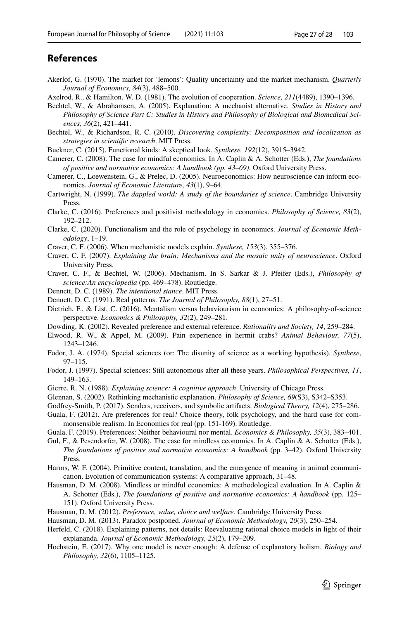# **References**

- <span id="page-26-26"></span>Akerlof, G. (1970). The market for 'lemons': Quality uncertainty and the market mechanism. *Quarterly Journal of Economics, 84*(3), 488–500.
- <span id="page-26-30"></span>Axelrod, R., & Hamilton, W. D. (1981). The evolution of cooperation. *Science, 211*(4489), 1390–1396.
- <span id="page-26-10"></span>Bechtel, W., & Abrahamsen, A. (2005). Explanation: A mechanist alternative. *Studies in History and Philosophy of Science Part C: Studies in History and Philosophy of Biological and Biomedical Sciences, 36*(2), 421–441.
- <span id="page-26-3"></span>Bechtel, W., & Richardson, R. C. (2010). *Discovering complexity: Decomposition and localization as strategies in scientifc research*. MIT Press.
- <span id="page-26-4"></span>Buckner, C. (2015). Functional kinds: A skeptical look. *Synthese, 192*(12), 3915–3942.
- <span id="page-26-21"></span>Camerer, C. (2008). The case for mindful economics. In A. Caplin & A. Schotter (Eds.), *The foundations of positive and normative economics: A handbook (pp. 43–69)*. Oxford University Press.
- <span id="page-26-25"></span>Camerer, C., Loewenstein, G., & Prelec, D. (2005). Neuroeconomics: How neuroscience can inform economics. *Journal of Economic Literature, 43*(1), 9–64.
- <span id="page-26-1"></span>Cartwright, N. (1999). *The dappled world: A study of the boundaries of science*. Cambridge University Press.
- <span id="page-26-15"></span>Clarke, C. (2016). Preferences and positivist methodology in economics. *Philosophy of Science, 83*(2), 192–212.
- <span id="page-26-16"></span>Clarke, C. (2020). Functionalism and the role of psychology in economics. *Journal of Economic Methodology*, 1–19.
- <span id="page-26-11"></span>Craver, C. F. (2006). When mechanistic models explain. *Synthese, 153*(3), 355–376.
- <span id="page-26-12"></span>Craver, C. F. (2007). *Explaining the brain: Mechanisms and the mosaic unity of neuroscience*. Oxford University Press.
- <span id="page-26-2"></span>Craver, C. F., & Bechtel, W. (2006). Mechanism. In S. Sarkar & J. Pfeifer (Eds.), *Philosophy of science:An encyclopedia* (pp. 469–478). Routledge.
- <span id="page-26-6"></span>Dennett, D. C. (1989). *The intentional stance*. MIT Press.
- <span id="page-26-7"></span>Dennett, D. C. (1991). Real patterns. *The Journal of Philosophy, 88*(1), 27–51.
- <span id="page-26-13"></span>Dietrich, F., & List, C. (2016). Mentalism versus behaviourism in economics: A philosophy-of-science perspective. *Economics & Philosophy, 32*(2), 249–281.
- <span id="page-26-20"></span>Dowding, K. (2002). Revealed preference and external reference. *Rationality and Society, 14*, 259–284.
- <span id="page-26-19"></span>Elwood, R. W., & Appel, M. (2009). Pain experience in hermit crabs? *Animal Behaviour, 77*(5), 1243–1246.
- <span id="page-26-0"></span>Fodor, J. A. (1974). Special sciences (or: The disunity of science as a working hypothesis). *Synthese*, 97–115.
- <span id="page-26-5"></span>Fodor, J. (1997). Special sciences: Still autonomous after all these years. *Philosophical Perspectives, 11*, 149–163.
- <span id="page-26-8"></span>Gierre, R. N. (1988). *Explaining science: A cognitive approach*. University of Chicago Press.
- <span id="page-26-9"></span>Glennan, S. (2002). Rethinking mechanistic explanation. *Philosophy of Science, 69*(S3), S342–S353.
- <span id="page-26-28"></span>Godfrey-Smith, P. (2017). Senders, receivers, and symbolic artifacts. *Biological Theory, 12*(4), 275–286.
- <span id="page-26-24"></span>Guala, F. (2012). Are preferences for real? Choice theory, folk psychology, and the hard case for commonsensible realism. In Economics for real (pp. 151-169). Routledge.
- <span id="page-26-17"></span>Guala, F. (2019). Preferences: Neither behavioural nor mental. *Economics & Philosophy, 35*(3), 383–401.
- <span id="page-26-14"></span>Gul, F., & Pesendorfer, W. (2008). The case for mindless economics. In A. Caplin & A. Schotter (Eds.), *The foundations of positive and normative economics: A handbook* (pp. 3–42). Oxford University Press.
- <span id="page-26-29"></span>Harms, W. F. (2004). Primitive content, translation, and the emergence of meaning in animal communication. Evolution of communication systems: A comparative approach, 31–48.
- <span id="page-26-22"></span>Hausman, D. M. (2008). Mindless or mindful economics: A methodological evaluation. In A. Caplin & A. Schotter (Eds.), *The foundations of positive and normative economics: A handbook* (pp. 125– 151). Oxford University Press.
- <span id="page-26-23"></span>Hausman, D. M. (2012). *Preference, value, choice and welfare*. Cambridge University Press.
- <span id="page-26-27"></span>Hausman, D. M. (2013). Paradox postponed. *Journal of Economic Methodology, 20*(3), 250–254.
- <span id="page-26-18"></span>Herfeld, C. (2018). Explaining patterns, not details: Reevaluating rational choice models in light of their explananda. *Journal of Economic Methodology, 25*(2), 179–209.
- <span id="page-26-31"></span>Hochstein, E. (2017). Why one model is never enough: A defense of explanatory holism. *Biology and Philosophy, 32*(6), 1105–1125.